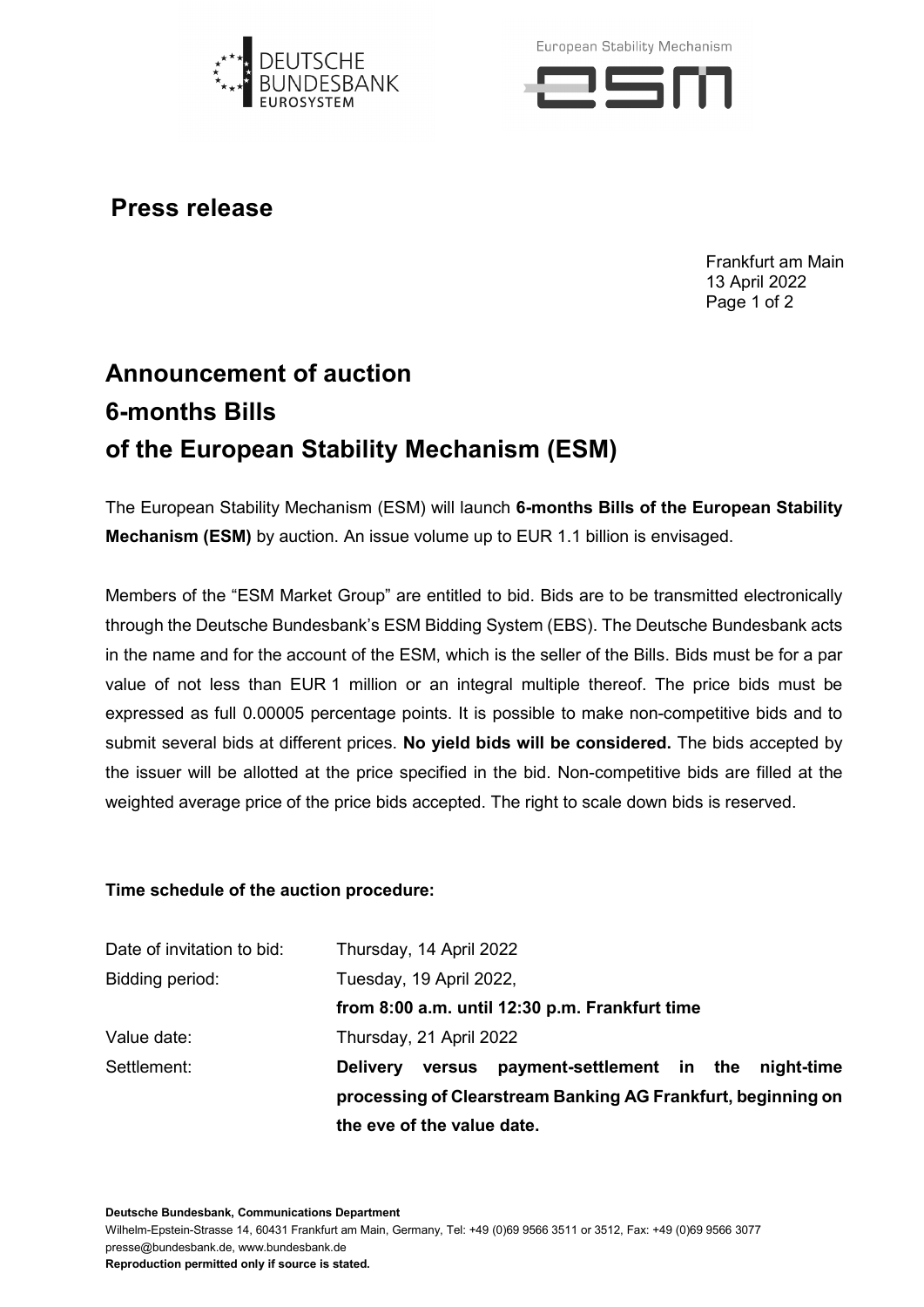

European Stability Mechanism



**Press release**

Frankfurt am Main 13 April 2022 Page 1 of 2

## **Announcement of auction 6-months Bills of the European Stability Mechanism (ESM)**

The European Stability Mechanism (ESM) will launch **6-months Bills of the European Stability Mechanism (ESM)** by auction. An issue volume up to EUR 1.1 billion is envisaged.

Members of the "ESM Market Group" are entitled to bid. Bids are to be transmitted electronically through the Deutsche Bundesbank's ESM Bidding System (EBS). The Deutsche Bundesbank acts in the name and for the account of the ESM, which is the seller of the Bills. Bids must be for a par value of not less than EUR 1 million or an integral multiple thereof. The price bids must be expressed as full 0.00005 percentage points. It is possible to make non-competitive bids and to submit several bids at different prices. **No yield bids will be considered.** The bids accepted by the issuer will be allotted at the price specified in the bid. Non-competitive bids are filled at the weighted average price of the price bids accepted. The right to scale down bids is reserved.

## **Time schedule of the auction procedure:**

|                            | the eve of the value date.                                   |                                             |  |  |  |
|----------------------------|--------------------------------------------------------------|---------------------------------------------|--|--|--|
|                            | processing of Clearstream Banking AG Frankfurt, beginning on |                                             |  |  |  |
| Settlement:                | <b>Delivery</b>                                              | versus payment-settlement in the night-time |  |  |  |
| Value date:                | Thursday, 21 April 2022                                      |                                             |  |  |  |
|                            | from 8:00 a.m. until 12:30 p.m. Frankfurt time               |                                             |  |  |  |
| Bidding period:            | Tuesday, 19 April 2022,                                      |                                             |  |  |  |
| Date of invitation to bid: | Thursday, 14 April 2022                                      |                                             |  |  |  |